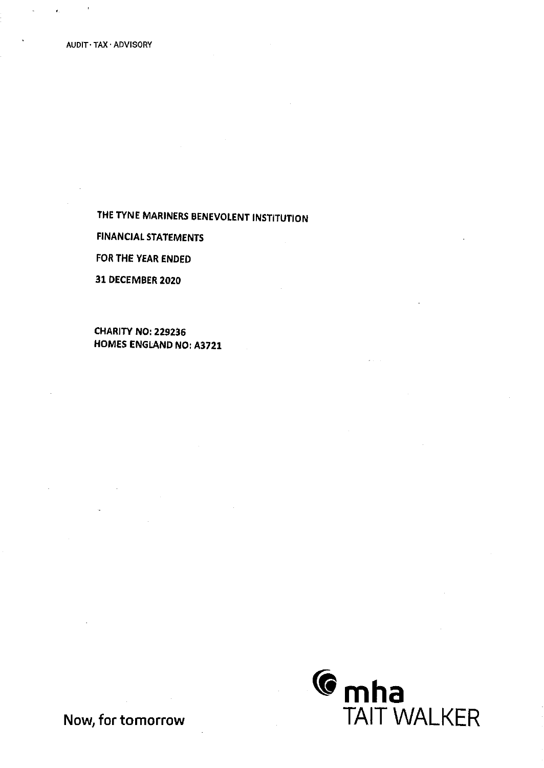FINANCIAL STATEMENTS

FOR THE YEAR ENDED

31 DECEMBER 2020

CHARITY NO: 229296 HOMES ENGLAND NO: A3721



Now, for tomorrow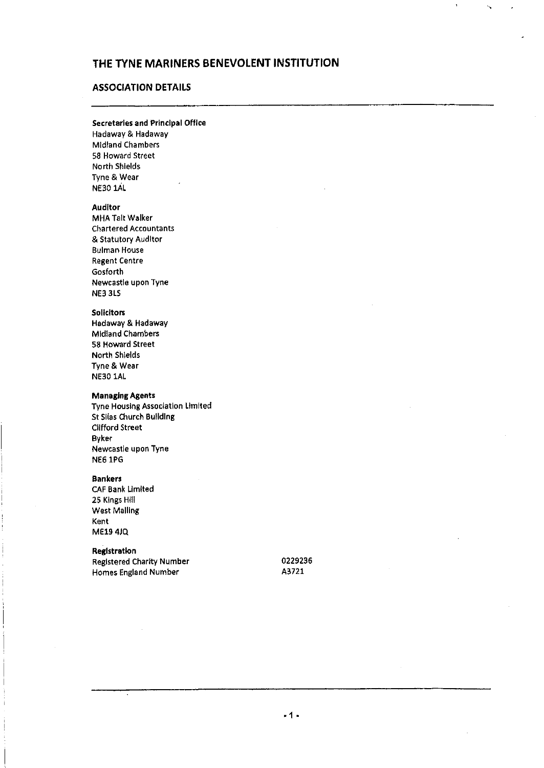# ASSOCIATION DETAILS

#### Secretaries and Principal Office

Hadaway & Hadaway Midland Chambers 58 Howard Street North Shields Tyne & Wear NE30 1AL

### Auditor

MHA Tait Walker Chartered Accountants & Statutory Auditor Bulman House Regent Centre Gosforth Newcastle upon Tyne NE3 3LS

#### **Solicitors**

Hadaway & Hadaway Midland Chambers 58 Howard Street North Shields Tyne & Wear NE30 1AL

### Managing Agents

Tyne Housing Association Limited St Silas Church Building Clifford Street Byker Newcastle upon Tyne **NE6 1PG** 

#### Bankers

CAF Bank Umited 25 Kings Hill West Malling Kent ME19 4JQ

# **Registration**

Registered Charity Number Homes England Number

0229236 A3721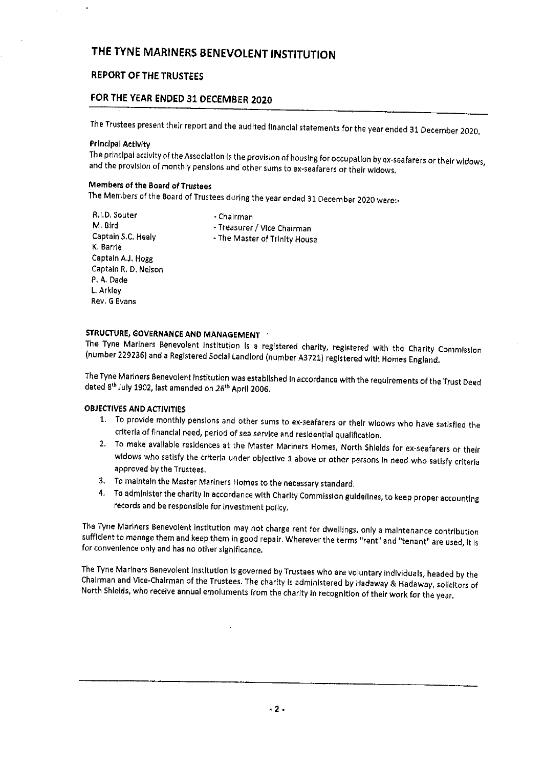# REPORT OF THE TRUSTEES

# FOR THE YEAR ENDED 31 DECEMBER 2020

The Trustees present their report and the audited financial statements for the year ended <sup>31</sup> December 2020,

### Principal Activity

The principal activity of the Association is the provision of housing for occupation by ex-seafarers or their widows,<br>and the provision of monthly pensions and other sums to ex-seafarers or their widows.

## Members of the Board of Trustees

The Members of the Board of Trustees during the year ended 31 December <sup>2020</sup> were. -

R, I.D, Souter M, BIrd Captain S.C, Healy K. Barrie Captain AJ, Hogg Captain R, D, Nelson P, A, Dade L. Arkley Rev, G Evans

- Chairman - Treasurer / Vice Chairman - The Master of Trinity House

STRUCTURE, GOVERNANCE AND MANAGEMENT<br>The Tyne Mariners Benevolent Institution is a registered charity, registered with the Charity Commission (number 229236) and a Registered Social Landlord (number A3721) registered with Homes England.

The Tyne Mariners Benevolent Institution was established In accordance with the requirements of the Trust Deed<br>dated 8<sup>th</sup> July 1902, last amended on 26<sup>th</sup> April 2006,

# OBJECTIVES AND ACTIVITIES

- 1. To provide monthly pensions and other sums to ex-seafarers or their widows who have satisfied the criteria of financial need, period of sea service and residential qualification.
- 2. To make available residences at the Master Mariners Homes, North Shields for ex-seafarers or their widows who satisfy the criteria under objective 1 above or other persons in need who satisfy criteria approved by the Trustees.
- 3. To maintain the Master Mariners Homes to the necessary standard.
- 4, To administer the charity In accordance with Charity Commission guidelines, to keep proper accounting records and be responsible for Investment policy,

The Tyne Mariners Benevolent institution may not charge rent for dwellings, only a maintenance contribution<br>sufficient to manage them and keep them in good repair. Wherever the terms "rent" and "tenant" are used, it is<br>for

The Tyne Mariners Benevolent Institution Is governed by Trustees who are voluntary individuals, headed by the Chairman and Vice-Chairman of the Trustees. The charity is administered by Hadaway & Hadaway, solicitors of North Shields, who receive annual emoluments from the charity In recognltlon of their work for the year.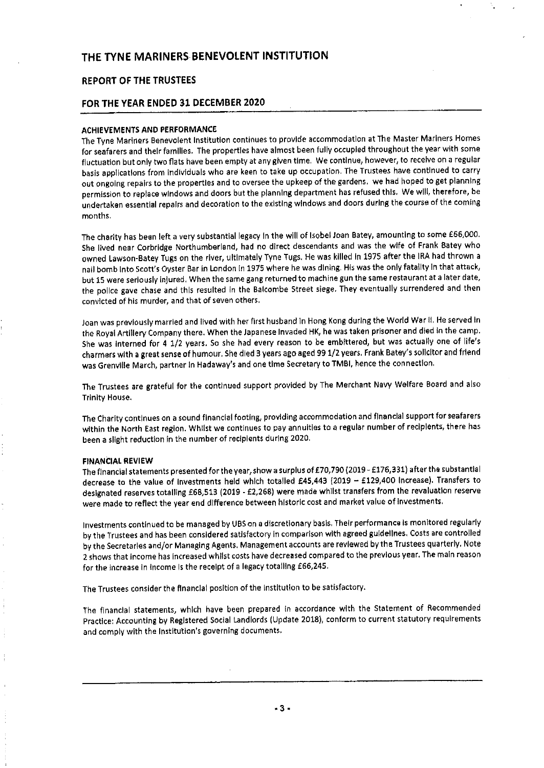### REPORT OF THE TRUSTEES

### FOR THE YEAR ENDED 31 DECEMBER 2020

### ACHIEVEMENTS AND PERFORMANCE

The Tyne Mariners Benevolent Institution continues to provide accommodation at The Master Mariners Homes for seafarers and their families, The properties have almost been fully occupied throughout the year with some fluctuation but only two flats have been empty at any given time, We continue, however, to receive on <sup>a</sup> regular basis applications from Individuals who are keen to take up occupation. The Trustees have continued to carry out ongoing repairs to the properties and to oversee the upkeep of the gardens. we had hoped to get planning permission to replace windows and doors but the planning department has refused this, We will, therefore, be undertaken essential repairs and decoration to the existing windows and doors during the course of the coming months.

The charity has been left <sup>a</sup> very substantial legacy In the will of Isobel Joan Batey, amounting to some 666,000. She lived neer Corbridge Northumberlend, had no direct descendants and was the wife of Frank Batey who owned Lawson-Batey Tugs on the river, ultimately Tyne Tugs, He was killed In 1975 after the IRA had thrown <sup>a</sup> nail bomb Into Scott's Oyster Bar in London In 1975 where he was dining. His was the only fatality In that attack, but 15 were seriously inJured, When the same gang returned to machine gun the same restaurant at <sup>a</sup> later date, the police gave chase and this resulted in the Balcombe Street siege. They eventually surrendered and then convicted of his murder, and that of seven others,

Joan was previously married and lived with her first husband ln Hong Kong during the World War II, He served In the Royal Artillery Company there. When the Japanese Invaded HK, he was taken prisoner and died in the camp. She was interned for 4 1/2 years. So she had every reason to be embittered, but was actually one of life's charmers with a great sense of humour. She died 3 years ago aged 99 1/2 years. Frank Batey's solicitor and friend was Grenvllle March, partner In Hadaway's and one time Secretary to TMBI, hence the connection,

The Trustees are grateful for the continued support provided by The Merchant Navy Welfare Board and also Trinity House,

The Charity continues on <sup>a</sup> sound financial footing, providing accommodation and financial support for seafarers within the North East region. Whilst we continues to pay annuities to a regular number of recipients, there has been a slight reduction in the number of redplents during 2020.

#### FINANCIAL REVIEW

The financial statements presented for the year, show a surplus of £70,790 (2019 - £176,331) after the substantial decrease to the value of investments held which totalled £45,443 (2019 - £129,400 Increase). Transfers to designated reserves totalling £68,513 (2019 - £2,268) were made whilst transfers from the revaluation reserve were made to reflect the year end difference between historic cost and market value of Investments,

Investments continued to be managed by UBS on <sup>a</sup> discretionary basis, Their performance Is monitored regularly by the Trustees and has been considered satisfactory In comparison with agreed guidelines, Costs are controlled by the Secretaries and/or Managing Agents, Management accounts are reviewed by the Trustees quarterly. Note <sup>2</sup> shows that Income has Increased whilst costs have decreased compared to the previous year, The main reason for the increase in income is the receipt of a legacy totalling £66,245.

The Trustees consider the financial position of the Institution to be satisfactory.

The financial statements, which have been prepared in accordance with the Statement of Recommended Practice: Accounting by Registered Social Landlords (Update 2016), conform to current statutory requirements and comply with the Institution's governing documents,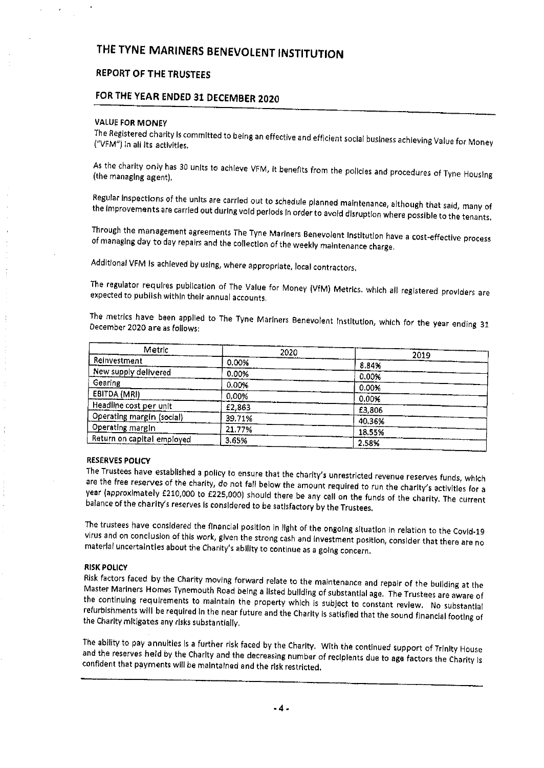# REPORT OF THE TRUSTEES

# FOR THE YEAR ENDED 31 DECEMBER 2020

#### VALUE FOR MONEY

The Registered charity is committed to being an effective and efficient social business achieving Value for Mone<br>("VFM") in all Its activities. ("VFM") in all its activities.

As the charity only has 30 units to achieve VFM, it benefits from the policies and procedures of Tyne Housing<br>(the managing agent),

Regular inspections of the units are carried out to schedule planned maintenance, although that said, many of<br>the improvements are carried out during void periods In order to avoid disruption where possible to the tenants.

Through the management agreements The Tyne Mariners Benevolent Institution have a cost-effective process<br>of managing day to day repairs and the collection of the weekly maintenance charge,

Additional VFM Is achieved by using, where appropriate, local contractors,

The regulator requires publication of The Value for Money (VfM) Metrics, which all registered providers are expected to publish within their annual accounts.

The metrics have been applied to The Tyne Mariners Benevolent Institution, which for the year ending 31<br>December 2020 are as follows; December 2020 are as follows:

| Metric                     | 2020   | 2019   |
|----------------------------|--------|--------|
| Reinvestment               | 0.00%  | 8.84%  |
| New supply delivered       | 0.00%  | 0.00%  |
| Gearing                    | 0.00%  | 0.00%  |
| EBITDA (MRI)               | 0.00%  | 0.00%  |
| Headline cost per unit     | £2,863 | £3,806 |
| Operating margin (social)  | 39.71% | 40.36% |
| Operating margin           | 21,77% | 18.55% |
| Return on capital employed | 3.65%  | 2.58%  |

RESERVES POLICY<br>The Trustees have established a policy to ensure that the charity's unrestricted revenue reserves funds, which are the free reserves of the charity, do not fall below the amount required to run the charity's activities for a year (approximately £210,000 to £225,000) should there be any cell on the funds of the charity. The current balance of the charity's reserves is considered to be satisfactory by the Trustees,

The trustees have considered the financial position in light of the ongoing situation in relation to the Covid-19 virus and on conclusion of this work, given the strong cash and investment position, consider that there are

RISK POLICY<br>Risk factors faced by the Charity moving forward relate to the maintenance and repair of the building at the Maste Risk factors faced by the Charity moving forward relate to the maintenance and repair of the building at the<br>Master Mariners Homes Tynemouth Road being a listed building of substantial age. The Trustees are aware of<br>the co

The ability to pay annuities is a further risk faced by the Charity. With the continued support of Trinity House<br>and the reserves held by the Charity and the decreasing number of recipients due to age factors the Charity i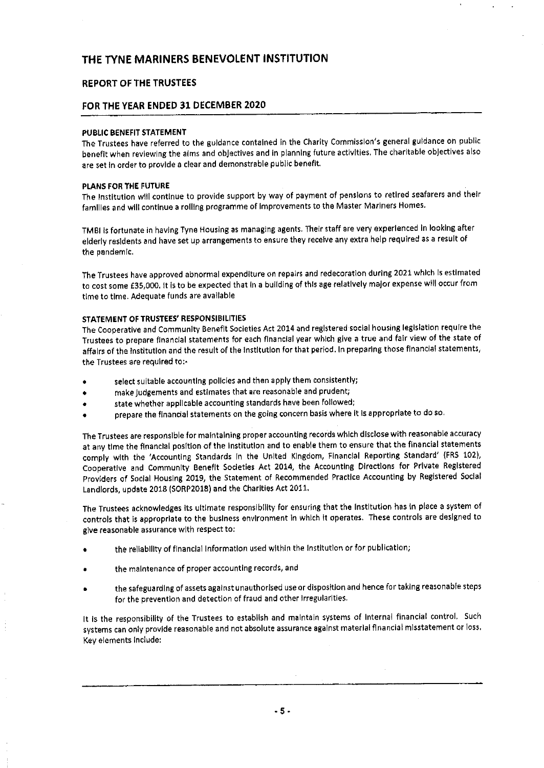### REPORT OF THE TRUSTEES

### FOR THE YEAR ENDED 31 DECEMBER 2020

#### PUBLIC BENEFIT STATEMENT

The Trustees have referred to the guidance contained in the Charity Commission's general guidance on public benefit when reviewing the alms and obJectives and in planning future activities, The charitable objectives also are set in order to provide a clear and demonstrable public benefit.

#### PLANS FOR THE FUTURE

The Institution will continue to provide support by way of payment of pensions to retired seafarers and their families and will continue <sup>a</sup> rolling programme of Improvements to the Master Mariners Homes.

TM BI is fortunate in having Tyne Housing as managing agents. Their staff are very experienced In looking after elderly residents and have set up arrangements to ensure they receive any extra help required as <sup>a</sup> result of the pandemic,

The Trustees have approved abnormal expenditure on repairs and redecoration during 2021 which Is estimated to cost some £35,000. It is to be expected that in a building of this age relatively major expense will occur from time to time. Adequate funds are available

### STATEMENT OF TRUSTEES' RESPONSIBILITIES

The Cooperative and Community Benefit Societies Act 2014 and registered social housing legislation require the Trustees to prepare financial statements for each financial year which give <sup>a</sup> true and fair view of the state of affairs of the Institution and the result of the Institution for that period. In preparing those financial statements, the Trustees are required ton-

- select suitable accounting policies and then apply them consistently;
- make Judgements and estimates that are reasonable and prudent;
- state whether applicable accounting standards have been followed;
- prepare the flnandal statements on the going concern basis where It Is appropriate to do so,

The Trustees are responsible for maintaining proper accounting records which disclose with reasonable accuracy at any time the financial position of the Institution and to enable them to ensure that the financial statements comply with the 'Accounting Standards In the United Kingdom, Financial Reporting Standard' (FRS 102), Cooperative and Community Benefit Sodeties Act 2014, the Accounting Directions for Private Registered Provlders of Social Housing 2019, the Statement of Recommended Practice Accounting by Registered Social Landlords, update 2018 (SORP2018) and the Charities Act 2011.

The Trustees acknowledges its ultimate responsibility for ensuring that the Institution has In place <sup>a</sup> system of controls that is appropriate to the business environment in which it operates. These controls are designed to give reasonable assurance with respect to:

- the reliability of financial information used within the institution or for publication;
- the maintenance of proper accounting records, and
- the safeguarding of assets against unauthorised use or disposition and hence for taking reasonable steps for the prevention and detection of fraud and other Irregularities,

It Is the responsibility of the Trustees to establish and maintain systems of Internal financial control, Such systems can only provide reasonable and not absolute assurance against material financial misstatement or loss, Key elements Include: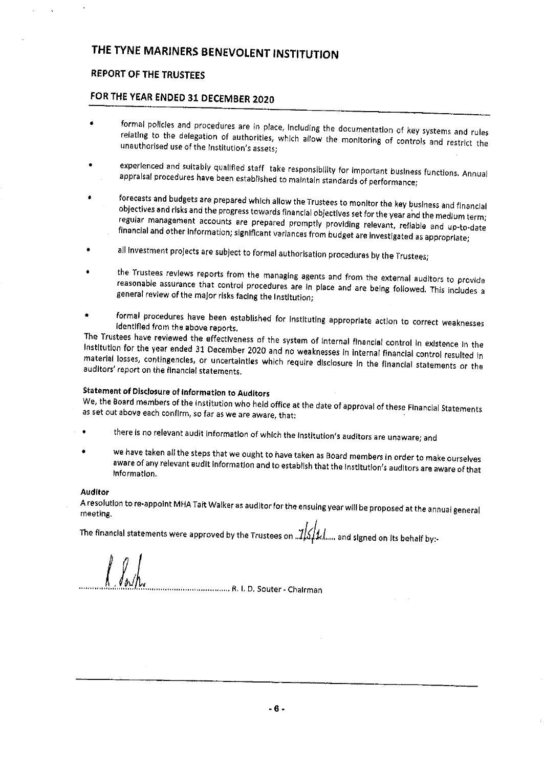# REPORT OF THE TRUSTEES

# FOR THE YEAR ENDED 31 DECEMBER 2020

- formal policies and procedures are in place, including the documentation of key systems and rules<br>relating to the delegation of authorities, which allow the monitoring of controls and restrict the<br>unauthorised use of the i
- experienced and suitably qualified staff take responsibility for important business functions. Annual appraisal procedures have been established to maintain standards of performance;
- forecasts and budgets are prepared which allow the Trustees to monitor the key business and financial<br>objectives and risks and the progress towards financial objectives set for the year and the medium term;<br>regular managem financial and other information; significant variances from budget are investigated as appropriate;
- all investment projects are subject to formal authorisation procedures by the Trustees;
- the Trustees reviews reports from the managing agents and from the external auditors to provide reasonable assurance that control procedures are in place and are being followed. This includes a general review of the major risks facing the Institution;
- formal procedures have been established for Instituting appropriate action to correct weaknesses<br>identified from the above reports.

The Trustees have reviewed the effectiveness of the system of internal financial control in existence in the<br>Institution for the year ended 31 December 2020 and no weaknesses in internal financial control resulted in materia Institution for the year ended 31 December 2020 and no weaknesses in internal financial control resulted in<br>material losses, contingencies, or uncertainties which require disclosure in the financial statements or the<br>audit

## Statement of Dlsdosure of Information to Auditors

We, the Board members of the Institution who held office at the date of approval of these Financial Statements as set out above each confirm, so far as we are aware, that:

- there Is no relevant audit information of which the institution's auditors are unaware; and
- we have taken all the steps that we ought to have taken as Board members in order to make ourselves aware of any relevant audit information and to establish that the institution's auditors are aware of that<br>Information,

#### Auditor

A resolution to re-appoint MHA Tait Walker as auditor for the ensuing year will be proposed at the annual general meeting,

The financial statements were approved by the Trustees on  $\mathcal{A}\text{min}$  and signed on its behalf by:-

............................. R. I. D. Souter - Chairman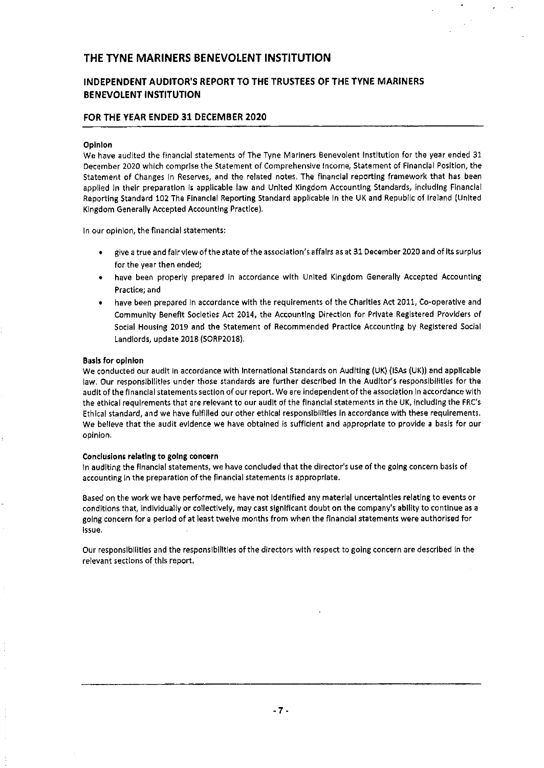# INDEPENDENT AUDITOR'S REPORT TO THE TRUSTEES OF THE TYNE MARINERS BENEVOLENT INSTITUTION

# FOR THE YEAR ENDED 31 DECEMBER 2020

#### Opinion

We have audited the financial statements of The Tyne Mariners Benevolent Institution for the year ended 31 December 2020 which comprise the Statement of Comprehensive Income, Statement of Financial Position, the Statement of Changes In Reserves, and the related notes. The financial reporting framework that has been applied In their preparation Is applicable law and United Kingdom Accounting Standards, including Financial Reporting Standard 102 The Financial Reporting Standard applicable In the UK and Republic of Ireland (United Kingdom Generally Accepted Accounting Practice).

In our opinion, the financial statements:

- <sup>~</sup> give <sup>a</sup> true and fair view of the state of the association's affair as at 31 December 2020 and of Its surplus for the year then ended,
- have been properly prepared in accordance with United Kingdom Generally Accepted Accounting Practice; and
- have been prepared in accordance with the requirements of the Charities Act 2011, Co-operative and Community Benefit Societies Act 2014, the Accounting Direction for Private Registered Provlders of Social Housing 2019 and the Statement of Recommended Practice Accounting by Registered Social Landlords, update 2018 (SORP2018).

#### Basis for opinion

We conducted our audit In accordance with International Standards on Auditing (UK) (ISAs (UK)) and applicable law, Our responsibilities under those standards are further described In the Auditor's responsibilities for the audit of the financial statements section of our report. We are independent of the association ln accordance with the ethical requirements that ere relevant to our audit of the financial statements in the UK, Including the FRC's Ethical standard, and we have fulfilled our other ethical responsibilities in accordance with these requirements, We believe that the audit evidence we have obtained is sufficient and appropriate to provide a basis for our opinion.

#### Conclusions relating to going concern

In auditing the financial statements, we have concluded that the director's use of the going concern basis of accounting In the preparation of the financial statements is appropriate.

Based on the work we have performed, we have not Identified any material uncertainties relating to events or conditions that, Individually or collectively, may cast significant doubt on the company's ability to continue as a going concern for <sup>a</sup> period of at least twelve months from when the flnandal statements were authorised for Issue.

Our responsibilities and the responsibilities of the directors with respect to going concern are described In the relevant sections of this report,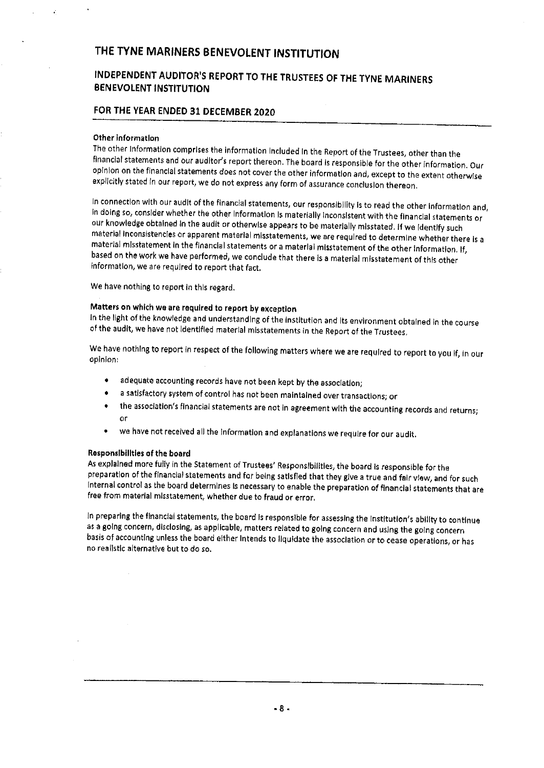# INDEPENDENT AUDITOR'S REPORT TO THE TRUSTEES OF THE TYNE MARINERS BENEVOLENT INSTITUTION

# FOR THE YEAR ENDED 31 DECEMBER 2020

#### Other information

The other Information comprises the information Included In the Report of the Trustees, other than the financial statements and our auditor's report thereon. The board is responsible for the other Information. Our opinion on the financial statements does not cover the other information and, except to the extent otherwise explicitly stated in our report, we do not express any form of assurance conclusion thereon.

In connection with our audit ofthe financial statements, our responsibility Is to read the other Information and, In doing so, consider whether the other information Is materially Inconsistent with the financial statements or our knowledge obtained In the audit or otherwise appears to be materially misstated. If we Identify such material inconsistencies or apparent material misstatements, we are required to determine whether there is a<br>material misstatement in the financial statements or a material misstatement of the other information. If, based on the work we have performed, we conclude that there is a material misstatement of this other information, we are required to report that fact.

We have nothing to report In this regard,

# Matters on which we are required to report by exception

In the light of the knowledge and understanding of the institution and its environment obtained in the course of the audit, we have not Identified material misstatements ln the Report of the Trustees.

We have nothing to report in respect of the following matters where we are required to report to you If, in our opinion:

- <sup>~</sup> adequate accounting records have not been kept by the association;
- a satisfactory system of control has not been maintained over transactions; or
- <sup>e</sup> the association's financial statements are not In agreement with the accounting records and returns; or
- <sup>~</sup> we have not received all the information and explanations we require for our audit.

#### Responsibilities of the board

As explained more fully in the Statement of Trustees' Responsibilities, the board Is responsible for the preparation of the financial statements and for being satisfied that they give <sup>a</sup> true and fair view, and for such Internal control as the board determines Is necessary to enable the preparation of financial statements that are free from material misstatement, whether due to fraud or error,

In preparing the flnandal statements, the board Is responsible for assessing the Institution's ability to continue as <sup>a</sup> going concern, disclosing, as applicable, matters related to going concern and udng the going concern basis of accounting unless the board either Intends to liquidate the association or to cease operations, or has no realistic alternative but to do so.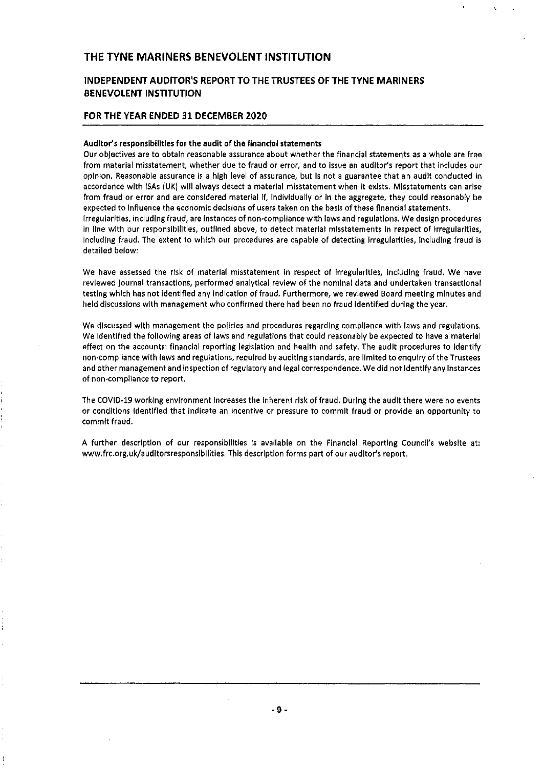# INDEPENDENT AUDITOR'S REPORT TO THE TRUSTEES OF THE TYNE MARINERS BENEVOLENT INSTITUTION

#### FOR THE YEAR ENDED 31 DECEMBER 2020

#### Auditor's responsibilities for the audit of the financial statements

Our objectives are to obtain reasonable assurance about whether the financial statements as a whole are free from material misstatement, whether due to fraud or error, and to Issue an auditor's report that includes our opinion. Reasonable assurance is a high level of assurance, but Is not a guarantee that an audit conducted in accordance with ISAs (UK) will always detect a material misstatement when It exists, Mlsstatements can arise from fraud or error and are considered material If, Individually or In the aggregate, they could reasonably be expected to Influence the economic decisions of users taken on the basis of these flnandal statements. Irregularities, including fraud, are Instances of non. compliance with laws and regulations. We design procedures

in line with our responsibilities, outlined above, to detect material mlsstatements In respect of Irregularities, including freud, The extent to which our procedures are capable of detecting Irregularities, Including fraud is detailed below:

We have assessed the risk of material misstatement In respect of Irregularities, including fraud, We have reviewed journal transactions, performed analytical review of the nominal data and undertaken transactional testing which has not identified any indication of fraud. Furthermore, we reviewed Board meeting minutes and held discussions with management who confirmed there had been no fraud Identified during the year,

We discussed with management the policies and procedures regarding compliance with laws and regulations. We Identified the following areas of laws and regulations that could reasonably be expected to have a material effect on the accounts: financial reporting legislation and health and safety. The audit procedures to Identify non. compliance with laws and regulations, required by auditing standards, are limited to enquiry of the Trustees and other management and inspection of regulatory and legal correspondence. We did not Identify any Instances of non. compliance to report.

The COVID. 19 working environment Increases the Inherent risk of fraud. During the audit there were no events or conditions Identified that indicate an incentive or pressure to commit freud or provide an opportunity to commit fraud.

A further description of our responsibilities is available on the Financial Reporting Council's website at: www. frc.org, uk/audjtorsresponsibllities, This description forms part of our auditor's report,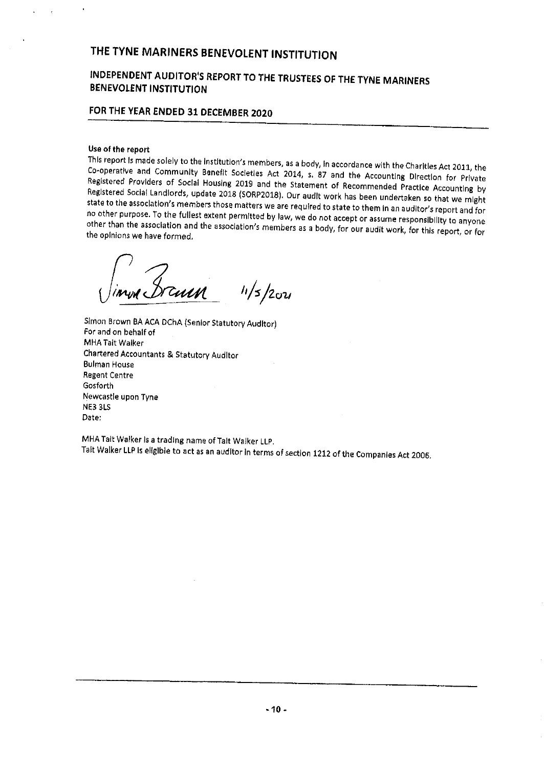# INDEPENDENT AUDITOR'S REPORT TO THE TRUSTEES OF THE TYNE MARINERS BENEVOLENT INSTITUTION

# FOR THE YEAR ENDED 31 DECEMBER 2020

Use of the report<br>This report is made solely to the institution's members, as a body, in accordance with the Charitles Act 2011, the Co-operative and Community Benefit Societies Act 2014, s. 87 and the Accounting Direction for Private<br>Registered Providers of Social Housing 2019 and the Statement of Recommended Practice Accounting by Registered Social Landlords, update 2018 (SORP2018). Our audit work has been undertaken so that we might<br>state to the association's members those matters we are required to state to them in an auditor's report and for no other purpose. To the fullest extent permitted by law, we do not accept or assume responsibility to anyone<br>other than the association and the association's members as a body, for our audit work, for this report, or for<br>

 $11/5/20u$ 

Simon Brown BA ACA DChA (Senior Statutory Auditor) For and on behalf of MHA Tait Walker Chartered Accountants 8 Statutory Auditor Bulman House Regent Centre Gosforth Newcastle upon Tyne NE3 3LS Date;

MHA Tait Walker Is a trading name of Tait Walker LLP. Tait Walker LLP Is eligible to act as an auditor ln terms of section <sup>1212</sup> of the Companies Act 2006,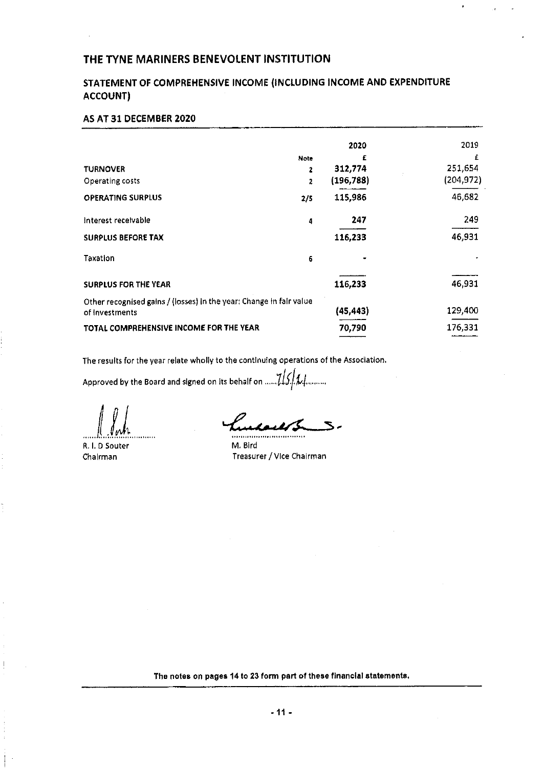# STATEMENT OF COMPREHENSIVE INCOME (INCLUDING INCOME AND EXPENDITURE ACCOUNT)

# AS AT 31 DECEMBER 2020

|                                                                                       | Note | 2020<br>£  | 2019<br>£  |
|---------------------------------------------------------------------------------------|------|------------|------------|
| <b>TURNOVER</b>                                                                       | 2    | 312,774    | 251,654    |
| Operating costs                                                                       | 2    | (196, 788) | (204, 972) |
| <b>OPERATING SURPLUS</b>                                                              | 2/5  | 115,986    | 46,682     |
| Interest receivable                                                                   | 4    | 247        | 249        |
| <b>SURPLUS BEFORE TAX</b>                                                             |      | 116,233    | 46,931     |
| Taxation                                                                              | 6    |            |            |
| <b>SURPLUS FOR THE YEAR</b>                                                           |      | 116,233    | 46,931     |
| Other recognised gains / (losses) in the year: Change in fair value<br>of Investments |      | (45,443)   | 129,400    |
| TOTAL COMPREHENSIVE INCOME FOR THE YEAR                                               |      | 70,790     | 176,331    |

The results for the year relate wholly to the continuing operations of the Association.

Approved by the Board and signed on its behalf on  $....715/11$ .........

R, I, 0 Souter Chairman

 $\overline{z}$  $\mathbf{S}$ 

M, Bird Treasurer/Vice Chairman

The notes on pages 14 to 23 form part of these financial statements.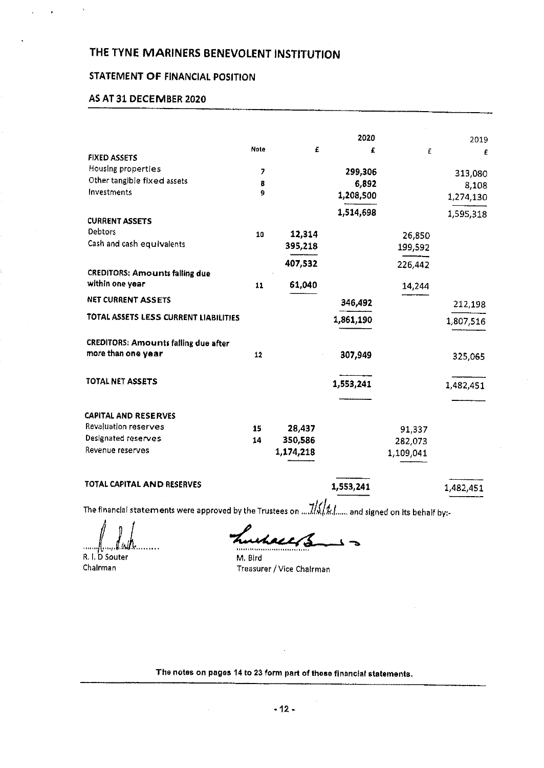# STATEMENT OF FINANCIAL POSITION

# AS AT 31 DECEMBER 2020

|                                                                   |      |           | 2020      |           | 2019      |
|-------------------------------------------------------------------|------|-----------|-----------|-----------|-----------|
| <b>FIXED ASSETS</b>                                               | Note | £         | £         | £         | £         |
| Housing properties                                                | 7    |           | 299,306   |           | 313,080   |
| Other tangible fixed assets                                       | 8    |           | 6,892     |           | 8.108     |
| Investments                                                       | 9    |           | 1,208,500 |           | 1,274,130 |
| <b>CURRENT ASSETS</b>                                             |      |           | 1,514,698 |           | 1,595,318 |
| <b>Debtors</b>                                                    |      |           |           |           |           |
| Cash and cash equivalents                                         | 10   | 12,314    |           | 26,850    |           |
|                                                                   |      | 395,218   |           | 199,592   |           |
| <b>CREDITORS: Amounts falling due</b>                             |      | 407,532   |           | 226,442   |           |
| within one year                                                   | 11   | 61,040    |           | 14,244    |           |
| NET CURRENT ASSETS                                                |      |           | 346,492   |           | 212,198   |
| TOTAL ASSETS LESS CURRENT LIABILITIES                             |      |           | 1,861,190 |           | 1,807,516 |
| <b>CREDITORS: Amounts failing due after</b><br>more than one year | 12   |           | 307,949   |           | 325,065   |
| TOTAL NET ASSETS                                                  |      |           | 1,553,241 |           | 1,482,451 |
| <b>CAPITAL AND RESERVES</b>                                       |      |           |           |           |           |
| Revaluation reserves                                              | 15   | 28,437    |           | 91,337    |           |
| Designated reserves                                               | 14   | 350,586   |           | 282,073   |           |
| Revenue reserves                                                  |      | 1,174,218 |           | 1,109,041 |           |

# TOTAL CAPITAL AND RESERVES **1,553,241** 1,482,451

The financial statements were approved by the Trustees on  $\frac{1}{16}$ / $\frac{1}{4}$ ...... and signed on Its behalf by:-

. . . . . . . . 11. . . .

R. I. D Souter Chairman

M. Bird Treasurer / Vice Chairman

The notes on pages 14 to 23 form part of these financial statements.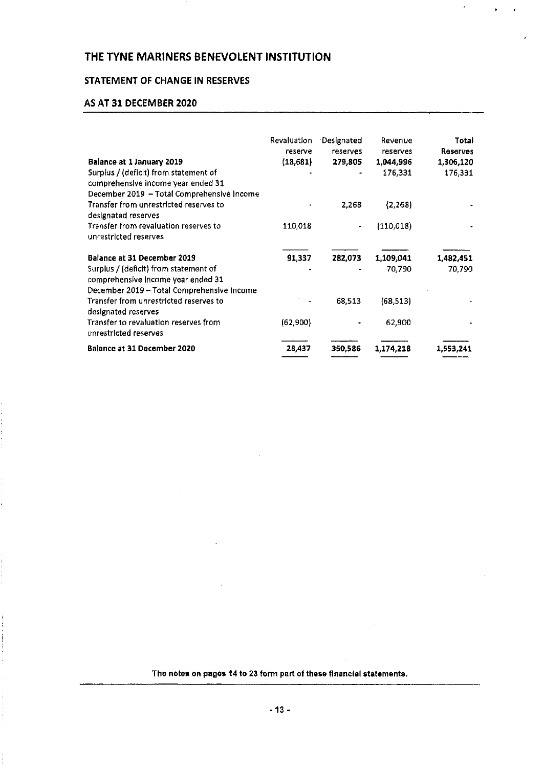# STATEMENT OF CHANGE IN RESERVES

### AS AT 31 DECEMBER 2020

|                                                                                                                           | Revaluation<br>reserve | Designated<br>reserves | Revenue<br>reserves | Totai<br><b>Reserves</b> |
|---------------------------------------------------------------------------------------------------------------------------|------------------------|------------------------|---------------------|--------------------------|
| Balance at 1 January 2019                                                                                                 | (18, 681)              | 279,805                | 1,044,996           | 1,306,120                |
| Surplus / (deficit) from statement of<br>comprehensive income year ended 31<br>December 2019 - Total Comprehensive Income |                        | ٠                      | 176,331             | 176,331                  |
| Transfer from unrestricted reserves to<br>designated reserves                                                             |                        | 2,268                  | (2, 268)            |                          |
| Transfer from revaluation reserves to<br>unrestricted reserves                                                            | 110,018                |                        | (110, 018)          |                          |
| Balance at 31 December 2019                                                                                               | 91,337                 | 282.073                | 1,109,041           | 1,482,451                |
| Surplus / (deficit) from statement of<br>comprehensive Income year ended 31<br>December 2019 - Total Comprehensive Income |                        |                        | 70.790              | 70,790                   |
| Transfer from unrestricted reserves to<br>designated reserves                                                             |                        | 68.513                 | (68, 513)           |                          |
| Transfer to revaluation reserves from<br>unrestricted reserves                                                            | (62,900)               |                        | 62,900              |                          |
| <b>Balance at 31 December 2020</b>                                                                                        | 28,437                 | 350,586                | 1,174,218           | 1,553,241                |

The notes on pages 14 to 23 form part of these financial statements.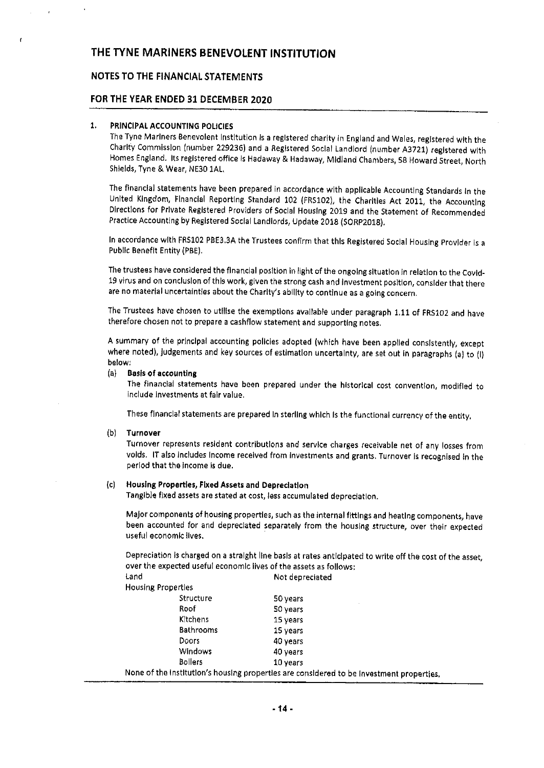# NOTES TO THE FINANCIAL STATEMENTS

#### FOR THE YEAR ENDED 31 DECEMBER 2020

#### 1, PRINCIPAL ACCOUNTING POLICIES

The Tyne Mariners Benevolent Instltutian Is <sup>a</sup> registered charity in England and Wales, registered with the Charity Commission (number 229236) and a Registered Social Landlord (number A3721) registered with Homes England. Its registered office Is Hadaway & Hadaway, Midland Chambers, 58 Howard Street, North Shields, Tyne &. Wear, NE301AL

The flnanclal statements have been prepared ln accordance with applicable Accounting Standards In the United Kingdom, Financial Reporting Standard 102 (FRS102), the Charities Act 2011, the Accounting Directions for Private Registered Providers of Social Housing 2019 and the Statement of Recommended Practice Accounting by Registered Social Landlords, Update 2013 (SQRP2018).

In accordance with FR5102 PBE3.3A the Trustees confirm that this Registered Social Housing Provider is s Public Benefit Entity (PBE),

The trustees have considered the financial position in light of the ongoing situation in relation to the Covid-19 virus and on conclusion of this work, given the strong cash and Investment position, canslder that there are no material uncertainties about the Charity's ability to continue as a going concern.

The Trustees have chosen to utlllse the exemptions available under paragraph 1.11 of FRS102 and have therefore chosen nat to prepare <sup>a</sup> cashflow statement and supporting notes.

<sup>A</sup> summary of the principal accounting policies adopted (which have been applied consistently, except where noted), judgements and key sources of estimation uncertainty, are set out in paragraphs (a) to (I) below,

#### (a) Basis of accounting

The finandal statements have been prepared under the historical cost convention, modified to include investments at fair value.

These financial statements are prepared In sterling which Is the functional currency of the entity,

#### (b) Turnover

Turnover represents resident contributions and service charges receivable net of any losses from voids, IT also includes Income received from Investments and grants. Turnover is recognised In the period that the income Is due.

### (c) Housing Properties, Fixed Assets snd Depreciation

Tangible fixed assets are stated at cost, less accumulated depreciation.

Major components of housing properties, such as the internal fittings and heating components, have been accounted for and depreciated separately from the housing structure, over their expected useful economic flves.

Depreciation is charged on <sup>a</sup> straight line basis at rates anticipated to write off the cost of the asset, over the expected useful economic lives of the assets as follows;

| land |                           | Not depreciated                                                                         |
|------|---------------------------|-----------------------------------------------------------------------------------------|
|      | <b>Housing Properties</b> |                                                                                         |
|      | Structure                 | 50 years                                                                                |
|      | Roof                      | 50 years                                                                                |
|      | Kitchens                  | 15 years                                                                                |
|      | <b>Bathrooms</b>          | 15 years                                                                                |
|      | Doors                     | 40 years                                                                                |
|      | <b>Windows</b>            | 40 years                                                                                |
|      | <b>Bollers</b>            | 10 years                                                                                |
|      |                           | None of the institution's housing properties are considered to be investment properties |
|      |                           |                                                                                         |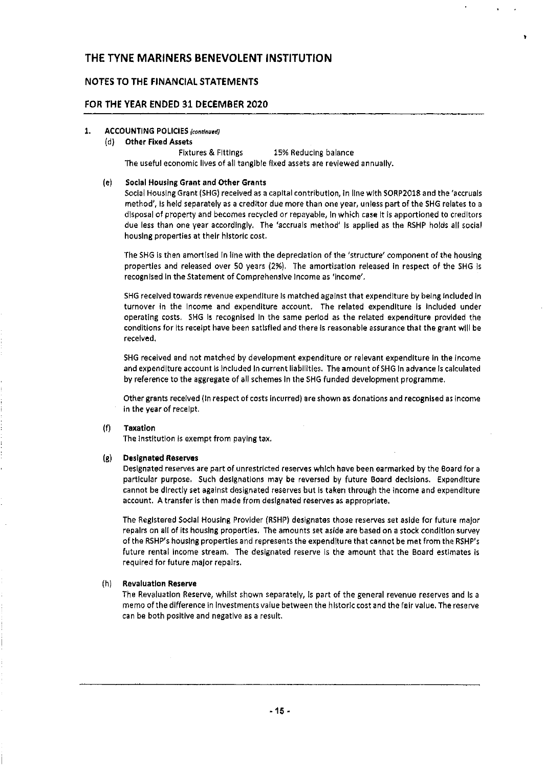### NOTES TO THE FINANCIAL STATEMENTS

## FOR THE YEAR ENDED 31 DECEMBER 2020

#### 1. ACCOUNTING POLICIES (continued)

#### (d) Other Fixed Assets

Fixtures 8 Fittings 15% Reducing balance The useful economic lives of all tangible fixed assets are reviewed annually.

#### (e) Social Housing Grant and Other Grants

Social Housing Grant (SHG) received as a capital contribution, In line with SORP2018 and the 'accruals method', Is held separately as a creditor due more than one year, unless part of the SHG relates to a disposal of property and becomes recycled or repayable, ln whkh case It ls apportioned to creditors due less than one year accordingly, The 'accruals method' Is applied as the RSHP holds all social housing properties at their historic cost,

The SHG is then amortised In line with the depredation of the 'structure' component of the housing properties and released over SO years (296), The amortlsatlon released in respect of the SHG Is recognised In the Statement of Comprehensive Income as 'income',

SHG received towards revenue expenditure is matched against that expenditure by being included in turnover In the Income and expenditure account. The related expenditure is Included under operating costs. SHG Is recognised In the same period as the related expenditure provided the conditions for its receipt have been satisfied and there Is reasonable assurance that the grant will be received,

SHG received and not matched by development expenditure or relevant expenditure In the income and expenditure account is Included In current liabilities. The amount of SHG In advance Is calculated by reference to the aggregate of all schemes ln the SHG funded development programme,

Other grants received (In respect of costs Incurred) are shown as donations and recognised as Income in the year of receipt.

#### (f) Taxatlon

The institution is exempt from paying tax.

#### (g) Designated Reserves

Oeslgnated reserves are part of unrestricted reserves which have been earmarked by the Board for a particular purpose, Such designations may be reversed by future Board decisions. Expenditure cannot be directly set against designated reserves but Is taken through the Income and expenditure account. A transfer is then made from designated reserves as appropriate,

The Registered Sodal Housing Provider (RSHP) designates those reserves set aside for future ma)or repairs on all of its housing properties, The amounts set aside are based on a stock condition survey of the RSHP's housing properties and represents the expenditure that cannot be met from the RSHP's future rental income stream. The designated reserve is the amount that the Board estimates is required for future ma)or repairs.

#### (h) Revaluation Reserve

The Revaluation Reserve, whilst shown separately, Is part of the general revenue reserves and Is a memo of the difference in investments value between the historic cost and the fair value. The reserve can be both positive and negative as a result,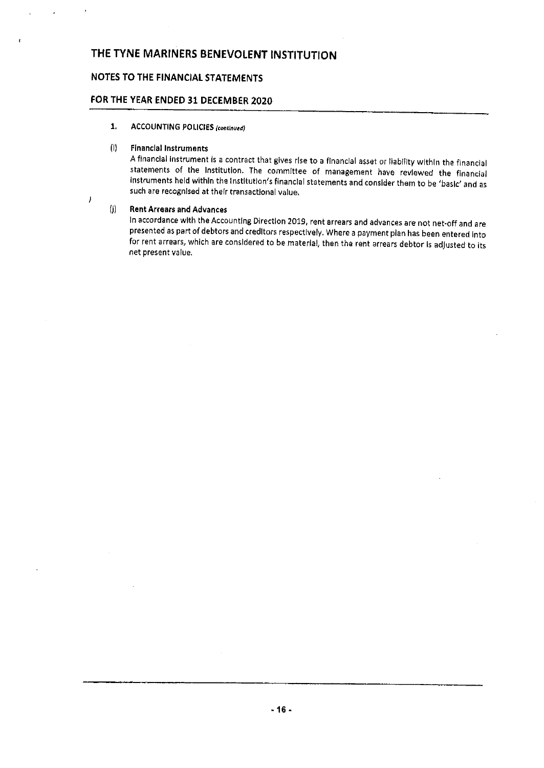# NOTES TO THE FINANCIAL STATEMENTS

# FOR THE YEAR ENDED 31 DECEMBER 2020

1. ACCOUNTING POLICIES (continued)

### (I) Financial Instruments

<sup>A</sup> financial Instrument Is <sup>a</sup> contract that gives rise to <sup>a</sup> financial asset or liability within the financial statements of the Institution. The committee of management have reviewed the financial Instruments held within the institution's financial statements and consider them to be 'basic' and as such are recognised at their transactional value,

#### (j) Rent Arrears and Advances

 $\overline{1}$ 

In accordance with the Accounting Direction 2019, rent arrears and advances are not net-off and are presented as part of debtors and creditors respectively, Where <sup>a</sup> payment plan has been entered Into for rent arrears, which are considered to be material, then the rent arrears debtor is adjusted to its net present value,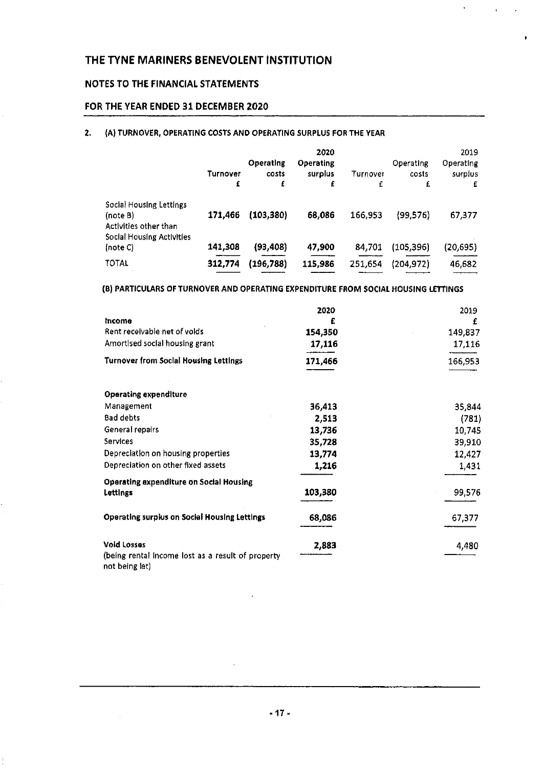# NOTES TO THE FINANCIAL STATEMENTS

# FOR THE YEAR ENDED 31 DECEMBER 2020

## 2. (A) TURNOVER, OPERATING COSTS AND OPERATING SURPLUS FOR THE YEAR

|                                                                                           | Turnover<br>£ | Operating<br>costs<br>£ | 2020<br>Operating<br>surplus<br>£ | Turnover<br>£ | Operating<br>costs<br>£ | 2019<br>Operating<br>surplus<br>£ |
|-------------------------------------------------------------------------------------------|---------------|-------------------------|-----------------------------------|---------------|-------------------------|-----------------------------------|
| Social Housing Lettings<br>(note B)<br>Activities other than<br>Social Housing Activities | 171,466       | (103, 380)              | 68,086                            | 166,953       | (99, 576)               | 67,377                            |
| (note C)                                                                                  | 141,308       | (93, 408)               | 47,900                            | 84,701        | (105, 396)              | (20, 695)                         |
| <b>TOTAL</b>                                                                              | 312,774       | (196, 788)              | 115,986                           | 251,654       | (204, 972)              | 46,682                            |

### (8) PARTICULARS OF TURNOVER AND OPERATING EXPENDITURE FROM SOCIAL HOUSING LETTINGS

|                                                                         | 2020    | 2019    |
|-------------------------------------------------------------------------|---------|---------|
| Income                                                                  |         | £       |
| Rent receivable net of volds                                            | 154,350 | 149,837 |
| Amortised social housing grant                                          | 17,116  | 17,116  |
| <b>Turnover from Social Housing Lettings</b>                            | 171,466 | 166,953 |
| <b>Operating expenditure</b>                                            |         |         |
| Management                                                              | 36,413  | 35,844  |
| Bad debts                                                               | 2,513   | (781)   |
| General repairs                                                         | 13,736  | 10,745  |
| <b>Services</b>                                                         | 35,728  | 39,910  |
| Depreciation on housing properties                                      | 13,774  | 12,427  |
| Depreciation on other fixed assets                                      | 1,216   | 1,431   |
| <b>Operating expenditure on Social Housing</b><br>Lettings              | 103,380 | 99,576  |
| <b>Operating surplus on Social Housing Lettings</b>                     | 68,086  | 67,377  |
| <b>Void Losses</b><br>(being rental income lost as a result of property | 2,883   | 4,480   |
| not being let)                                                          |         |         |

 $\cdot$ 

 $\mathcal{L}$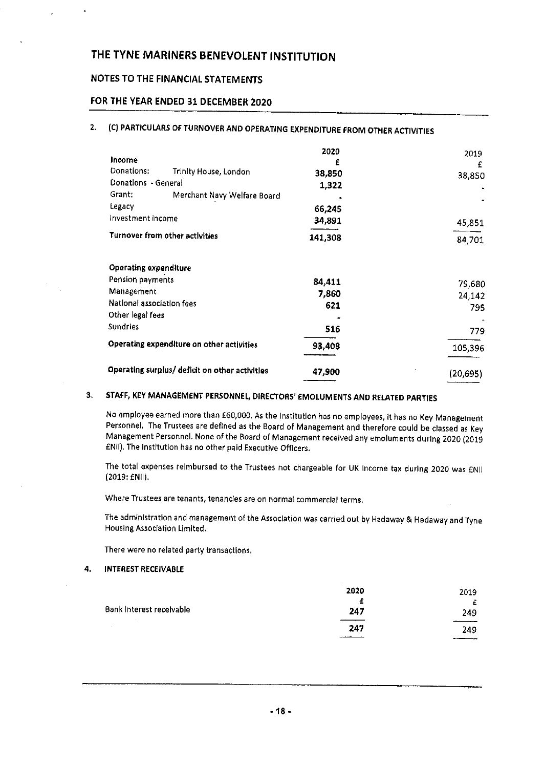# NOTES TO THE FINANCIAL STATEMENTS

# FOR THE YEAR ENDED 31 DECEMBER 2020

# 2. (C) PARTICULARS OF TURNOVER AND OPERATING EXPENDITURE FROM OTHER ACTIVITIES

| Income<br>Donations:<br>Donations - General<br>Grant:<br>Legacy | Trinity House, London<br>Merchant Navy Welfare Board | 2020<br>£<br>38,850<br>1,322<br>66,245 | 2019<br>£<br>38,850 |
|-----------------------------------------------------------------|------------------------------------------------------|----------------------------------------|---------------------|
| Investment income                                               |                                                      | 34,891                                 | 45,851              |
|                                                                 | Turnover from other activities                       | 141,308                                | 84,701              |
| <b>Operating expenditure</b>                                    |                                                      |                                        |                     |
| Pension payments                                                |                                                      | 84,411                                 | 79,680              |
| Management                                                      |                                                      | 7,860                                  | 24,142              |
| National association fees                                       |                                                      | 621                                    | 795                 |
| Other legal fees                                                |                                                      |                                        |                     |
| <b>Sundries</b>                                                 |                                                      | 516                                    | 779.                |
|                                                                 | Operating expenditure on other activities            | 93,408                                 | 105,396             |
|                                                                 | Operating surplus/ deficit on other activities       | 47,900                                 | (20,695)            |

# 3. STAFF, KEY MANAGEMENT PERSONNEL, DIRECTORS' EMOLUMENTS AND RELATED PARTIES

No employee earned more then E60,000, As the Institution has no employees, it has no Key Management Personnel. The Trustees are defined as the Board of Management and therefore could be classed as Key Management Personnel, None of the Board of Management received any emoluments during 2020 (2019 fNil). The Institution has no other paid Executive Officers.

The total expenses reimbursed to the Trustees not chargeable for UK Income tax during 2020 was ENII (2019:ENII),

Where Trustees are tenants, tenancies are on normal commercial terms,

The administration and management of the Association was carried out by Hadaway & Hadaway and Tyne Housing Assodation Limited,

There were no related party transactions.

4. INTEREST RECEIVABLE

|                          | 2020 | 2019 |
|--------------------------|------|------|
|                          | £    | £    |
| Bank Interest receivable | 247  | 249  |
|                          | 247  | 249  |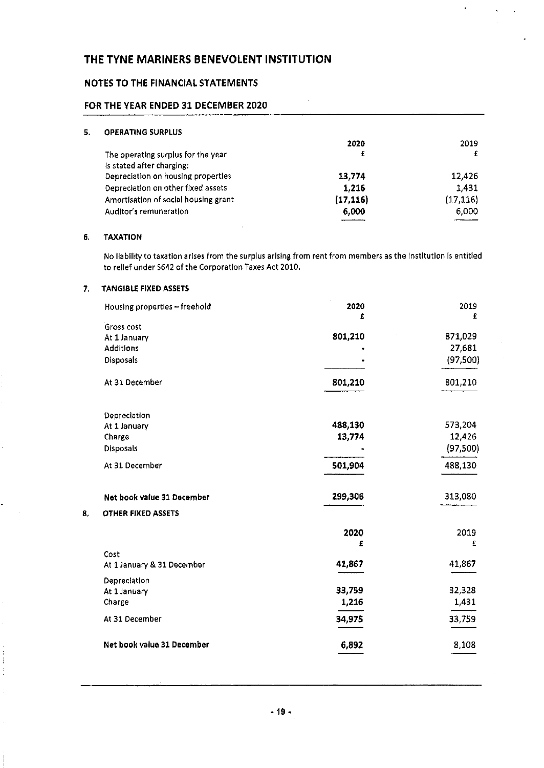# NOTES TO THE FINANCIAL STATEMENTS

## FOR THE YEAR ENDED 31 DECEMBER 2020

| 5. | <b>OPERATING SURPLUS</b>             |           |           |
|----|--------------------------------------|-----------|-----------|
|    |                                      | 2020      | 2019      |
|    | The operating surplus for the year   | £         |           |
|    | Is stated after charging:            |           |           |
|    | Depreciation on housing properties   | 13,774    | 12,426    |
|    | Depreciation on other fixed assets   | 1,216     | 1431      |
|    | Amortisation of social housing grant | (17, 116) | (17, 116) |
|    | Auditor's remuneration               | 6,000     | 6.000     |
|    |                                      |           |           |

### 6, TAXATION

No liability to taxation arises from the surplus arising from rent from members as the Institution Is entitled to relief under 5642 of the Corporation Taxes Act 2010.

## 7, TANGI8LE FIXED ASSETS

|    | Housing properties - freehold    | 2020    | 2019      |
|----|----------------------------------|---------|-----------|
|    |                                  | £       | £         |
|    | Gross cost                       | 801,210 | 871,029   |
|    | At 1 January<br><b>Additions</b> |         | 27,681    |
|    |                                  |         |           |
|    | Disposals                        |         | (97, 500) |
|    | At 31 December                   | 801,210 | 801,210   |
|    | Depreciation                     |         |           |
|    | At 1 January                     | 488,130 | 573,204   |
|    | Charge                           | 13,774  | 12,426    |
|    | <b>Disposals</b>                 |         | (97,500)  |
|    | At 31 December                   | 501,904 | 488,130   |
|    | Net book value 31 December       | 299,306 | 313,080   |
| 8, | <b>OTHER FIXED ASSETS</b>        |         |           |
|    |                                  | 2020    | 2019      |
|    |                                  | £       | £         |
|    | Cost                             |         |           |
|    | At 1 January & 31 December       | 41,867  | 41,867    |
|    | Depreciation                     |         |           |
|    | At 1 January                     | 33,759  | 32,328    |
|    | Charge                           | 1,216   | 1,431     |
|    | At 31 December                   | 34,975  | 33,759    |
|    | Net book value 31 December       | 6,892   | 8,108     |
|    |                                  |         |           |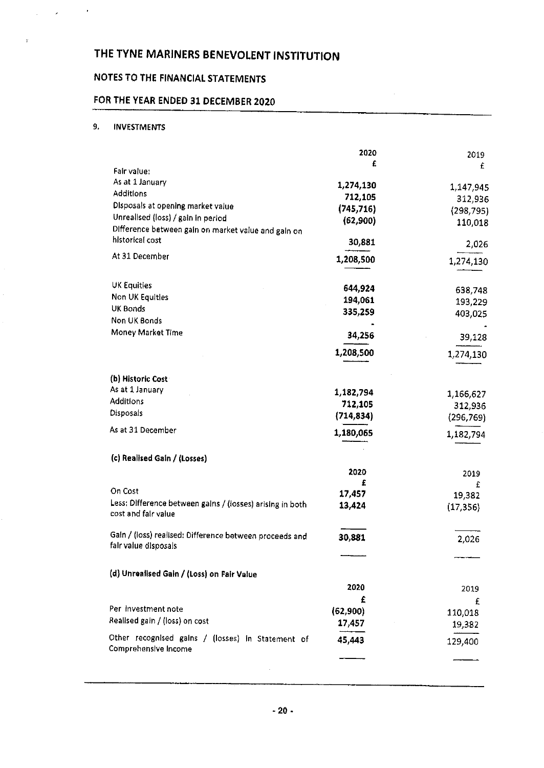# NOTES TO THE FINANCIAL STATEMENTS

# FOR THE YEAR ENDED 31 DECEMBER 2020

# 9, INVESTMENTS

 $\mathcal{L} = \mathcal{L} \times \mathcal{L}$  , where  $\mathcal{L}$ 

 $\varphi$ 

|                                                                                  | 2020       | 2019       |
|----------------------------------------------------------------------------------|------------|------------|
| Fair value:                                                                      | £          | £          |
| As at 1 January                                                                  |            |            |
| <b>Additions</b>                                                                 | 1,274,130  | 1,147,945  |
| Disposals at opening market value                                                | 712,105    | 312,936    |
| Unrealised (loss) / gain in period                                               | (745, 716) | (298, 795) |
| Difference between gain on market value and gain on                              | (62,900)   | 110,018    |
| historical cost                                                                  |            |            |
|                                                                                  | 30,881     | 2,026      |
| At 31 December                                                                   | 1,208,500  | 1,274,130  |
| <b>UK Equities</b>                                                               | 644,924    | 638,748    |
| Non UK Equities                                                                  | 194,061    | 193,229    |
| <b>UK Bonds</b>                                                                  | 335,259    | 403,025    |
| Non UK Bonds                                                                     |            |            |
| Money Market Time                                                                | 34,256     | 39,128     |
|                                                                                  | 1,208,500  | 1,274,130  |
| (b) Historic Cost                                                                |            |            |
| As at 1 January                                                                  | 1,182,794  | 1,166,627  |
| <b>Additions</b>                                                                 | 712,105    | 312,936    |
| Disposals                                                                        | (714, 834) | (296, 769) |
| As at 31 December                                                                |            |            |
|                                                                                  | 1,180,065  | 1,182,794  |
| (c) Realised Gain / (Losses)                                                     |            |            |
|                                                                                  | 2020       | 2019       |
| On Cost                                                                          | £          | £          |
|                                                                                  | 17,457     | 19,382     |
| Less: Difference between gains / (losses) arising in both<br>cost and fair value | 13,424     | (17, 356)  |
| Gain / (loss) realised: Difference between proceeds and                          | 30,881     |            |
| fair value disposals                                                             |            | 2,026      |
|                                                                                  |            |            |
| (d) Unrealised Gain / (Loss) on Fair Value                                       |            |            |
|                                                                                  | 2020       | 2019       |
|                                                                                  | £          | £          |
| Per investment note                                                              | (62, 900)  | 110,018    |
| Realised gain / (loss) on cost                                                   | 17,457     | 19,382     |
| Other recognised gains / (losses) in Statement of                                | 45,443     | 129,400    |
| Comprehensive Income                                                             |            |            |
|                                                                                  |            |            |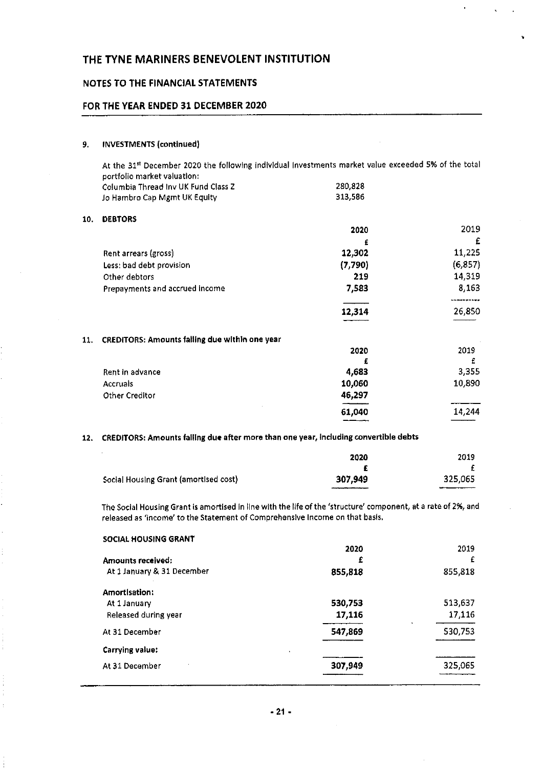### NOTES TO THE FINANCIAL STATEMENTS

### FOR THE YEAR ENDED 31 DECEMBER 2020

#### 9. INVESTMENTS (continued)

At the 31<sup>st</sup> December 2020 the following individual investments market value exceeded 5% of the total portfolio market valuation: Polumbia Thread Inv UK Fund Class 2 280,828<br>
280,828 280,828 280,828 280,828 280,828 280,828 Jo Hambro Cap Mgmt UK Equity

#### 10, DEBTORS

|                                | 2020    | 2019     |
|--------------------------------|---------|----------|
|                                | £       | £        |
| Rent arrears (gross)           | 12,302  | 11,225   |
| Less: bad debt provision       | (7,790) | (6, 857) |
| Other debtors                  | 219     | 14,319   |
| Prepayments and accrued income | 7,583   | 8,163    |
|                                | 12,314  | 26,850   |

#### 11. CREDITORS: Amounts falling due within one year

|                 | 2020   | 2019   |
|-----------------|--------|--------|
|                 | £      | £      |
| Rent in advance | 4,683  | 3,355  |
| Accruais        | 10,060 | 10,890 |
| Other Creditor  | 46,297 |        |
|                 | 61,040 | 14,244 |
|                 |        |        |

#### 12. CREDITORS: Amounts falling due after more than one year, Induding convertible debts

|                                       | 2020    | 2019    |
|---------------------------------------|---------|---------|
|                                       |         |         |
| Social Housing Grant (amortised cost) | 307,949 | 325,065 |
|                                       |         |         |

The Social Housing Grant is amortised in line with the life of the 'structure' component, at a rate of 2%, and released as 'income' to the Statement of Comprehensive Income on that basis,

| 2020    | 2019    |
|---------|---------|
| £       | £       |
| 855,818 | 855,818 |
|         |         |
| 530,753 | 513,637 |
| 17,116  | 17,116  |
| 547,869 | 530,753 |
|         |         |
| 307.949 | 325,065 |
|         |         |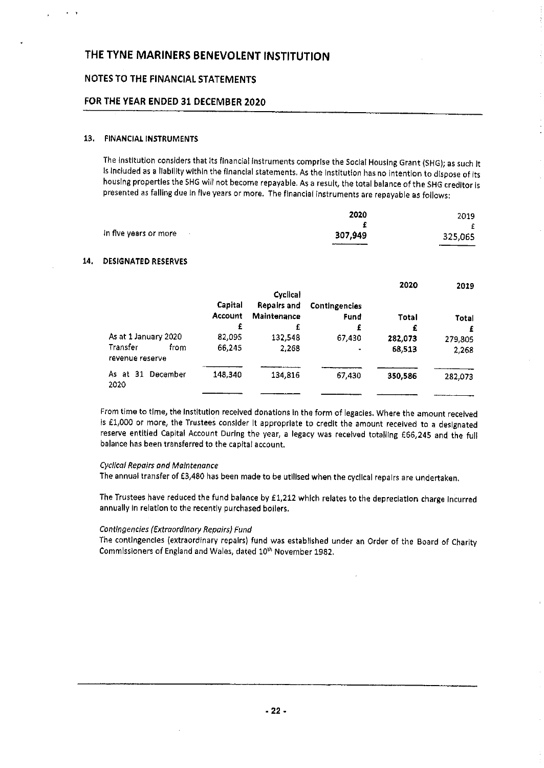# NOTES TO THE FINANCIAL STATEMENTS

# FOR THE YEAR ENDED 32 DECEMBER 2020

#### 13, FINANCIAL INSTRUMENTS

The Institution considers that Its financial instruments comprise the Social Housing Grant (SHG); as such It Is Included as <sup>a</sup> liability within the financial statements. As the Institution has no intention to dispose of Its housing properties the SHG will not become repayable. As <sup>a</sup> result, the tatal balance of the SHG creditor is presented as falling due in five years or more. The financial instruments are repayable as follows;

|                       | 2020        | 2019    |
|-----------------------|-------------|---------|
|                       |             |         |
| In five years or more | 307,949     | 325,065 |
|                       | ___________ |         |

#### 14. DESIGNATED RESERVES

|                                      |                    | <b>Cyclical</b>                   |                              | 2020    | 2019    |
|--------------------------------------|--------------------|-----------------------------------|------------------------------|---------|---------|
|                                      | Capital<br>Account | <b>Repairs and</b><br>Maintenance | <b>Contingencies</b><br>Fund | Total   | Total   |
|                                      | £                  | £                                 | £                            | £       |         |
| As at 1 January 2020                 | 82,095             | 132,548                           | 67.430                       | 282,073 | 279,805 |
| Transfer<br>from.<br>revenue reserve | 66,245             | 2,268                             | ٠                            | 68.513  | 2,268   |
| As at 31<br>December<br>2020         | 148.340            | 134,816                           | 67.430                       | 350,586 | 282,073 |
|                                      |                    |                                   |                              |         |         |

From time to time, the Institution received donations In the form of legacies. Where the amount received is E1,000 or more, the Trustees consider It appropriate to credit the amount received to <sup>a</sup> designated reserve entitled Capital Account During the year, a legacy was received totalling E66,245 and the full balance has been transferred to the capital account.

#### Cyclical Repairs and Maintenance

The annual transfer of £3,480 has been made to be utilised when the cyclical repairs are undertaken,

The Trustees have reduced the fund balance by E1,212 which relates to the depreciation charge Incurred annually In relation to the recently purchased boilers.

#### Contingencies (Extraordinary Repairs) Fund

The contingencies (extraordinary repairs) fund was established under an Order of the Board of Charity Commissioners of England and Wales, dated 10<sup>th</sup> November 1982,